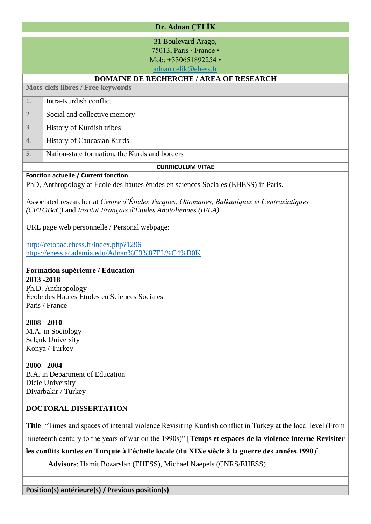#### **Dr. Adnan ÇELİK**

31 Boulevard Arago,

75013, Paris / France •

Mob: +330651892254 •

[adnan.celik@ehess.fr](mailto:adnan.celik@ehess.fr)

# **DOMAINE DE RECHERCHE / AREA OF RESEARCH**

**Mots-clefs libres / Free keywords**

1. Intra-Kurdish conflict

2. Social and collective memory

3. History of Kurdish tribes

4. History of Caucasian Kurds

5. Nation-state formation, the Kurds and borders

#### **CURRICULUM VITAE**

#### **Fonction actuelle / Current fonction**

PhD, Anthropology at École des hautes études en sciences Sociales (EHESS) in Paris.

Associated researcher at *Centre d'Études Turques, Ottomanes, Balkaniques et Centrasiatiques (CETOBaC)* and *Institut Français d'Études Anatoliennes (IFEA)*

URL page web personnelle / Personal webpage:

<http://cetobac.ehess.fr/index.php?1296> <https://ehess.academia.edu/Adnan%C3%87EL%C4%B0K>

### **Formation supérieure / Education**

**2013 -2018** Ph.D. Anthropology École des Hautes Études en Sciences Sociales Paris / France

**2008 - 2010** M.A. in Sociology Selçuk University Konya / Turkey

**2000 - 2004** B.A. in Department of Education Dicle University Diyarbakir / Turkey

# **DOCTORAL DISSERTATION**

**Title**: "Times and spaces of internal violence Revisiting Kurdish conflict in Turkey at the local level (From

nineteenth century to the years of war on the 1990s)" [**Temps et espaces de la violence interne Revisiter** 

# **les conflits kurdes en Turquie à l'échelle locale (du XIXe siècle à la guerre des années 1990**)]

**Advisors**: Hamit Bozarslan (EHESS), Michael Naepels (CNRS/EHESS)

**Position(s) antérieure(s) / Previous position(s)**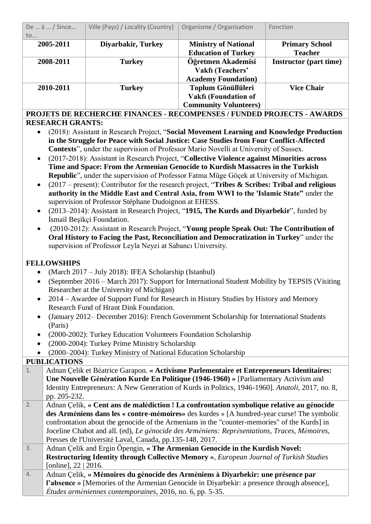| De  à  / Since | Ville (Pays) / Locality (Country) | Organisme / Organisation      | Fonction                      |
|----------------|-----------------------------------|-------------------------------|-------------------------------|
| to             |                                   |                               |                               |
| 2005-2011      | Diyarbakir, Turkey                | <b>Ministry of National</b>   | <b>Primary School</b>         |
|                |                                   | <b>Education of Turkey</b>    | <b>Teacher</b>                |
| 2008-2011      | <b>Turkey</b>                     | Öğretmen Akademisi            | <b>Instructor</b> (part time) |
|                |                                   | Vakfi (Teachers'              |                               |
|                |                                   | <b>Academy Foundation</b> )   |                               |
| 2010-2011      | <b>Turkey</b>                     | Toplum Gönüllüleri            | <b>Vice Chair</b>             |
|                |                                   | <b>Vakfi (Foundation of</b>   |                               |
|                |                                   | <b>Community Volunteers</b> ) |                               |

#### **PROJETS DE RECHERCHE FINANCES - RECOMPENSES / FUNDED PROJECTS - AWARDS RESEARCH GRANTS:**

- (2018): Assistant in Research Project, "**Social Movement Learning and Knowledge Production in the Struggle for Peace with Social Justice: Case Studies from Four Conflict-Affected Contexts**", under the supervision of Professor Mario Novelli at University of Sussex.
- (2017-2018): Assistant in Research Project, "**Collective Violence against Minorities across Time and Space: From the Armenian Genocide to Kurdish Massacres in the Turkish Republic**", under the supervision of Professor Fatma Müge Göçek at University of Michigan.
- (2017 present): Contributor for the research project, "**Tribes & Scribes: Tribal and religious authority in the Middle East and Central Asia, from WWI to the 'Islamic State"** under the supervision of Professor Stéphane Dudoignon at EHESS.
- (2013–2014): Assistant in Research Project, "**1915, The Kurds and Diyarbekir**", funded by İsmail Beşikçi Foundation.
- (2010-2012): Assistant in Research Project, "**Young people Speak Out: The Contribution of Oral History to Facing the Past, Reconciliation and Democratization in Turkey**" under the supervision of Professor Leyla Neyzi at Sabancı University.

# **FELLOWSHIPS**

- (March 2017 July 2018): IFEA Scholarship (Istanbul)
- (September 2016 March 2017): Support for International Student Mobility by TEPSIS (Visiting Researcher at the University of Michigan)
- 2014 Awardee of Support Fund for Research in History Studies by History and Memory Research Fund of Hrant Dink Foundation.
- (January 2012– December 2016): French Government Scholarship for International Students (Paris)
- (2000-2002): Turkey Education Volunteers Foundation Scholarship
- (2000-2004): Turkey Prime Ministry Scholarship
- (2000–2004): Turkey Ministry of National Education Scholarship

# **PUBLICATIONS**

- 1. Adnan Çelik et Béatrice Garapon. **« Activisme Parlementaire et Entrepreneurs Identitaires: Une Nouvelle Génération Kurde En Politique (1946-1960) »** [Parliamentary Activism and Identity Entrepreneurs: A New Generation of Kurds in Politics, 1946-1960]. *Anatoli,* 2017, no. 8, pp. 205-232.
- 2. Adnan Çelik, **« Cent ans de malédiction ! La confrontation symbolique relative au génocide des Arméniens dans les « contre-mémoires»** des kurdes » [A hundred-year curse! The symbolic confrontation about the genocide of the Armenians in the "counter-memories" of the Kurds] in Joceline Chabot and all. (ed), *Le génocide des Arméniens: Représentations, Traces, Mémoires*, Presses de l'Université Laval, Canada, pp.135-148, 2017.
- 3. Adnan Çelik and Ergin Öpengin, **« The Armenian Genocide in the Kurdish Novel: Restructuring Identity through Collective Memory »**, *European Journal of Turkish Studies* [online], 22 | 2016.
- 4. Adnan Çelik, **« Mémoires du génocide des Arméniens à Diyarbekir: une présence par l'absence »** [Memories of the Armenian Genocide in Diyarbekir: a presence through absence], *Études arméniennes contemporaines*, 2016, no. 6, pp. 5-35.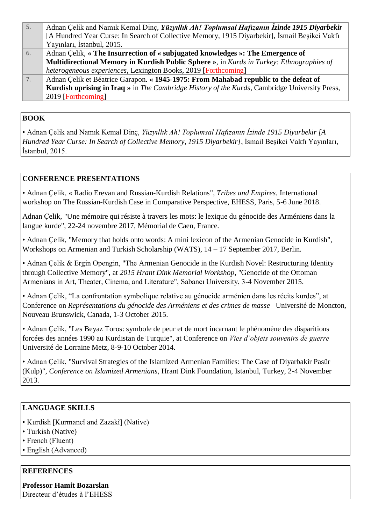| 5.               | Adnan Çelik and Namık Kemal Dinç, Yüzyıllık Ah! Toplumsal Hafizanın İzinde 1915 Diyarbekir                   |
|------------------|--------------------------------------------------------------------------------------------------------------|
|                  | [A Hundred Year Curse: In Search of Collective Memory, 1915 Diyarbekir], İsmail Beşikci Vakfı                |
|                  | Yayınları, İstanbul, 2015.                                                                                   |
| 6.               | Adnan Çelik, « The Insurrection of « subjugated knowledges »: The Emergence of                               |
|                  | Multidirectional Memory in Kurdish Public Sphere », in Kurds in Turkey: Ethnographies of                     |
|                  | <i>heterogeneous experiences, Lexington Books, 2019</i> [Forthcoming]                                        |
| $\overline{7}$ . | Adnan Çelik et Béatrice Garapon. « 1945-1975: From Mahabad republic to the defeat of                         |
|                  | <b>Kurdish uprising in Iraq</b> » in <i>The Cambridge History of the Kurds</i> , Cambridge University Press, |
|                  | 2019 [Forthcoming]                                                                                           |

# **BOOK**

• Adnan Çelik and Namık Kemal Dinç, *Yüzyıllık Ah! Toplumsal Hafızanın İzinde 1915 Diyarbekir [A Hundred Year Curse: In Search of Collective Memory, 1915 Diyarbekir]*, İsmail Beşikci Vakfı Yayınları, İstanbul, 2015.

# **CONFERENCE PRESENTATIONS**

• Adnan Çelik, « Radio Erevan and Russian-Kurdish Relations", *Tribes and Empires.* International workshop on The Russian-Kurdish Case in Comparative Perspective, EHESS, Paris, 5-6 June 2018.

Adnan Çelik, "Une mémoire qui résiste à travers les mots: le lexique du génocide des Arméniens dans la langue kurde", 22-24 novembre 2017, Mémorial de Caen, France.

• Adnan Çelik, "Memory that holds onto words: A mini lexicon of the Armenian Genocide in Kurdish", Workshops on Armenian and Turkish Scholarship (WATS), 14 – 17 September 2017, Berlin.

• Adnan Celik & Ergin Opengin, "The Armenian Genocide in the Kurdish Novel: Restructuring Identity through Collective Memory", at *2015 Hrant Dink Memorial Workshop*, "Genocide of the Ottoman Armenians in Art, Theater, Cinema, and Literature", Sabancı University, 3-4 November 2015.

• Adnan Çelik, "La confrontation symbolique relative au génocide arménien dans les récits kurdes", at Conference on *Représentations du génocide des Arméniens et des crimes de masse* Université de Moncton, Nouveau Brunswick, Canada, 1-3 October 2015.

• Adnan Çelik, "Les Beyaz Toros: symbole de peur et de mort incarnant le phénomène des disparitions forcées des années 1990 au Kurdistan de Turquie", at Conference on *Vies d'objets souvenirs de guerre* Université de Lorraine Metz, 8-9-10 October 2014.

• Adnan Çelik, "Survival Strategies of the Islamized Armenian Families: The Case of Diyarbakir Pasûr (Kulp)", *Conference on Islamized Armenians*, Hrant Dink Foundation, Istanbul, Turkey, 2-4 November 2013.

# **LANGUAGE SKILLS**

- Kurdish [Kurmancî and Zazakî] (Native)
- Turkish (Native)
- French (Fluent)
- English (Advanced)

# **REFERENCES**

**Professor Hamit Bozarslan** Directeur d'études à l'EHESS